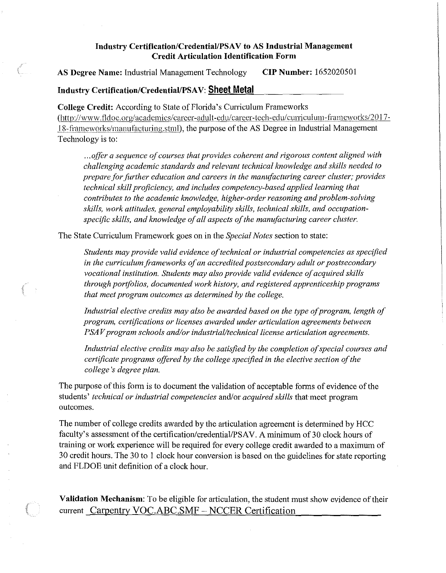## Industry Certification/Credential/PSAV to AS Industrial Management **Credit Articulation Identification Form**

**AS Degree Name:** Industrial Management Technology **CIP Number:** 1652020501

## **Industry Certification/Credential/PSAV: Sheet Metal**

**College Credit:** According to State of Florida's Curriculum Frameworks (<http://www>.fldoe.org/academics/career-adult-edu/career-tech-edu/curriculum-frameworks/2017-18-frameworks/rnanufacturing.stml), the purpose of the AS Degree in Industrial Management Technology is to:

... *offer a sequence of courses that provides coherent and rigorous content aligned with challenging academic standards and relevant technical knowledge and skills needed to prepare for further education and careers in the manufacturing career cluster; provides technical skill proficiency, and includes competency-based applied learning that contributes to the academic knowledge, higher-order reasoning and problem-solving skills, work attitudes, general employability skills, technical skills, and occupationspecific skills, and knowledge of all aspects of the manufacturing career cluster.* 

The State Curriculum Framework goes on in the *Special Notes* section to state:

*Students may provide valid evidence oftechnical or industrial competencies as specified*  in the curriculum frameworks of an accredited postsecondary adult or postsecondary *vocational institution. Students may also provide valid evidence of acquired skills through portfolios, documented work history, and registered apprenticeship programs that meet program outcomes as determined by the college,* 

*Industrial elective credits may also be awarded based on the type of program, length of program, certifications or licenses awarded under articulation agreements between PSAV* program schools and/or industrial/technical license articulation agreements.

*Industrial elective credits may also be satisfied by the completion ofspecial courses and certificate programs offered by the college specified in the elective section of the college 's degree plan.* 

The purpose of this form is to document the validation of acceptable forms of evidence of the students' *technical or industrial competencies* and/or *acquired skills* that meet program outcomes.

The number of college credits awarded by the articulation agreement is determined by HCC faculty's assessment of the certification/credential/PSAV. A minimum of 30 clock hours of training or work experience will be required for every college credit awarded to a maximum of 30 credit hours. The 30 to 1 clock hour conversion is based on the guidelines for state reporting and FLDOE unit definition of a clock hour.

**Validation Mechanism:** To be eligible for articulation, the student must show evidence of their current Carpentry VOC.ABC.SMF - NCCER Certification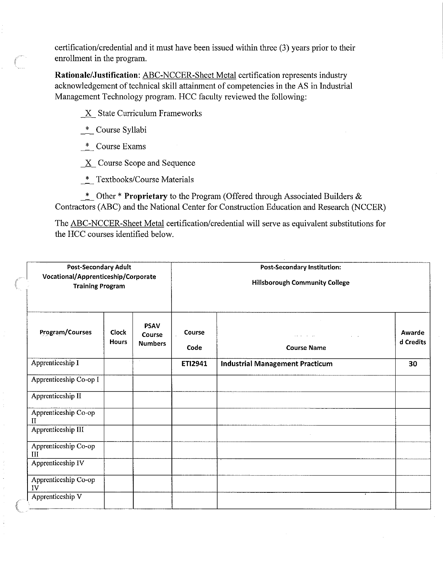certification/credential and it must have been issued within three (3) years prior to their enrollment in the program.

**Rationale/Justification:** ABC-NCCER-Sheet Metal certification represents industry acknowledgement of technical skill attainment of competencies in the AS in Industrial Management Technology program. HCC faculty reviewed the following:

X State Curriculum Frameworks

\_\*\_ Course Syllabi

\_\*\_ Course Exams

**L <sup>Z</sup>** Course Scope and Sequence

\_\*\_ Textbooks/Course Materials

\_\*\_ Other \* **Proprietary** to the Program (Offered through Associated Builders & Contractors (ABC) and the National Center for Construction Education and Research (NCCER)

The ABC-NCCER-Sheet Metal certification/credential will serve as equivalent substitutions for the HCC courses identified below.

| Post-Secondary Adult<br>Vocational/Apprenticeship/Corporate<br><b>Training Program</b> |                              |                                         | <b>Post-Secondary Institution:</b><br><b>Hillsborough Community College</b> |                                        |                     |
|----------------------------------------------------------------------------------------|------------------------------|-----------------------------------------|-----------------------------------------------------------------------------|----------------------------------------|---------------------|
| Program/Courses                                                                        | <b>Clock</b><br><b>Hours</b> | <b>PSAV</b><br>Course<br><b>Numbers</b> | Course<br>Code                                                              | <b>Course Name</b>                     | Awarde<br>d Credits |
| Apprenticeship I                                                                       |                              |                                         | ETI2941                                                                     | <b>Industrial Management Practicum</b> | 30                  |
| Apprenticeship Co-op I                                                                 |                              |                                         |                                                                             |                                        |                     |
| Apprenticeship II                                                                      |                              |                                         |                                                                             |                                        |                     |
| Apprenticeship Co-op<br>$\mathbf{I}$                                                   |                              |                                         |                                                                             |                                        |                     |
| Apprenticeship III                                                                     |                              |                                         |                                                                             |                                        |                     |
| Apprenticeship Co-op<br>III                                                            |                              |                                         |                                                                             |                                        |                     |
| Apprenticeship IV                                                                      |                              |                                         |                                                                             |                                        |                     |
| Apprenticeship Co-op<br>IV                                                             |                              |                                         |                                                                             |                                        |                     |
| Apprenticeship V                                                                       |                              |                                         |                                                                             |                                        |                     |